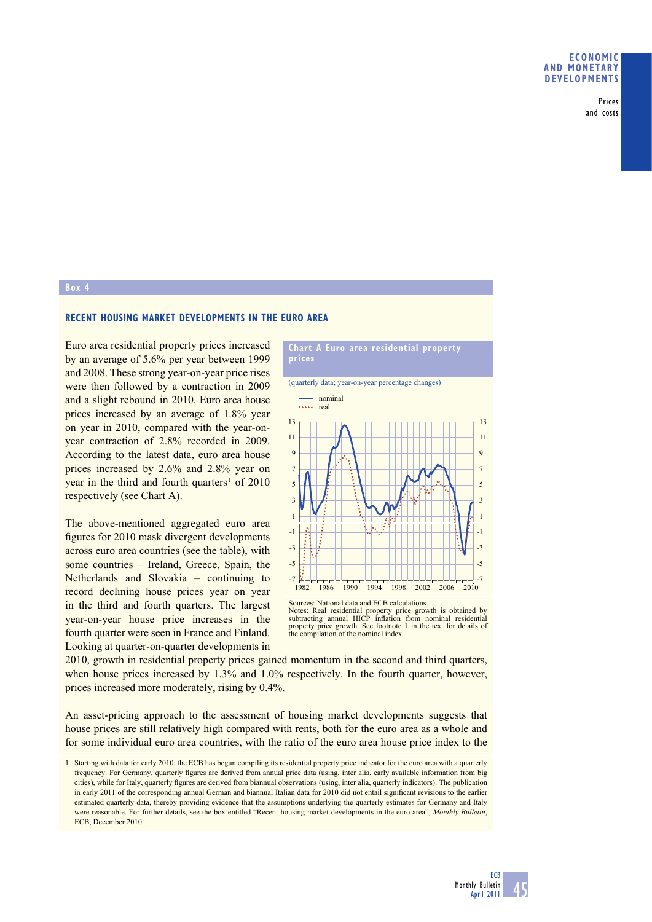Prices and costs

### **Box 4**

# **RECENT HOUSING MARKET DEVELOPMENTS IN THE EURO AREA**

Euro area residential property prices increased by an average of 5.6% per year between 1999 and 2008. These strong year-on-year price rises were then followed by a contraction in 2009 and a slight rebound in 2010. Euro area house prices increased by an average of 1.8% year on year in 2010, compared with the year-onyear contraction of 2.8% recorded in 2009. According to the latest data, euro area house prices increased by 2.6% and 2.8% year on year in the third and fourth quarters<sup>1</sup> of  $2010$ respectively (see Chart A).

The above-mentioned aggregated euro area figures for 2010 mask divergent developments across euro area countries (see the table), with some countries – Ireland, Greece, Spain, the Netherlands and Slovakia – continuing to record declining house prices year on year in the third and fourth quarters. The largest year-on-year house price increases in the fourth quarter were seen in France and Finland. Looking at quarter-on-quarter developments in

**Chart A Euro area residential property prices**

(quarterly data; year-on-year percentage changes)



Sources: National data and ECB calculations. Notes: Real residential property price growth is obtained by subtracting annual HICP inflation from nominal residential property price growth. See footnote 1 in the text for details of the compilation of the nominal index.

2010, growth in residential property prices gained momentum in the second and third quarters, when house prices increased by 1.3% and 1.0% respectively. In the fourth quarter, however, prices increased more moderately, rising by 0.4%.

An asset-pricing approach to the assessment of housing market developments suggests that house prices are still relatively high compared with rents, both for the euro area as a whole and for some individual euro area countries, with the ratio of the euro area house price index to the

<sup>1</sup> Starting with data for early 2010, the ECB has begun compiling its residential property price indicator for the euro area with a quarterly frequency. For Germany, quarterly figures are derived from annual price data (using, inter alia, early available information from big cities), while for Italy, quarterly figures are derived from biannual observations (using, inter alia, quarterly indicators). The publication in early 2011 of the corresponding annual German and biannual Italian data for 2010 did not entail significant revisions to the earlier estimated quarterly data, thereby providing evidence that the assumptions underlying the quarterly estimates for Germany and Italy were reasonable. For further details, see the box entitled "Recent housing market developments in the euro area", *Monthly Bulletin*, ECB, December 2010.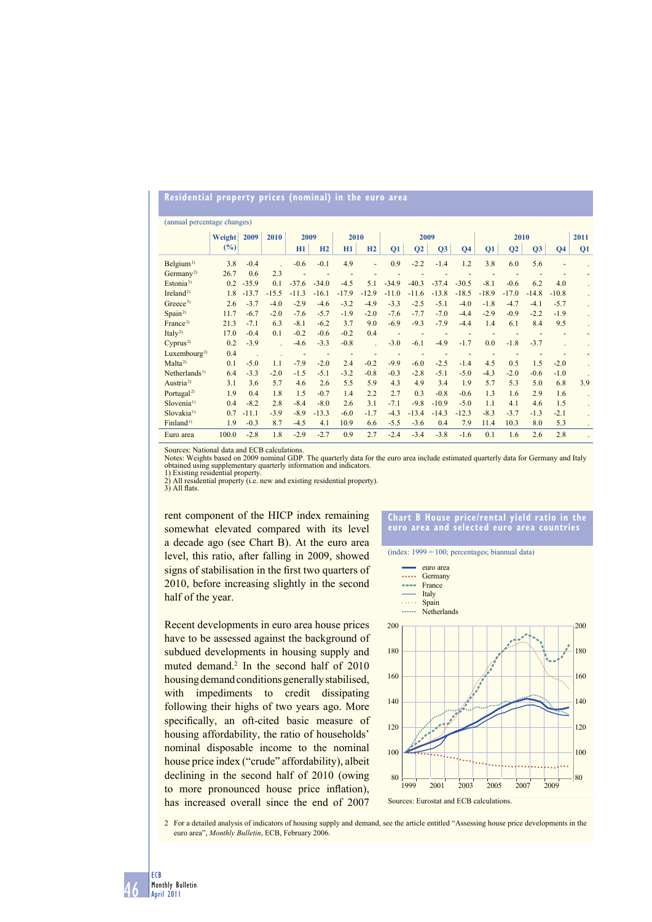# **Residential property prices (nominal) in the euro area**

| (annual percentage changes) |        |         |         |         |         |         |         |         |                |         |                |         |                |         |                |      |
|-----------------------------|--------|---------|---------|---------|---------|---------|---------|---------|----------------|---------|----------------|---------|----------------|---------|----------------|------|
|                             | Weight | 2009    | 2010    | 2009    |         | 2010    |         | 2009    |                |         |                | 2010    |                |         |                | 2011 |
|                             | (%)    |         |         | H1      | H2      | H1      | H2      | Q1      | Q <sub>2</sub> | Q3      | Q <sub>4</sub> | Q1      | Q <sub>2</sub> | Q3      | Q <sub>4</sub> | Q1   |
| Belgium <sup>1</sup>        | 3.8    | $-0.4$  |         | $-0.6$  | $-0.1$  | 4.9     |         | 0.9     | $-2.2$         | $-1.4$  | 1.2            | 3.8     | 6.0            | 5.6     |                |      |
| Germany <sup>2)</sup>       | 26.7   | 0.6     | 2.3     |         |         |         |         |         |                |         |                |         |                |         |                |      |
| Estonia <sup>3)</sup>       | 0.2    | $-35.9$ | 0.1     | $-37.6$ | $-34.0$ | $-4.5$  | 5.1     | $-34.9$ | $-40.3$        | $-37.4$ | $-30.5$        | $-8.1$  | $-0.6$         | 6.2     | 4.0            |      |
| Ireland <sup>2)</sup>       | 1.8    | $-13.7$ | $-15.5$ | $-11.3$ | $-16.1$ | $-17.9$ | $-12.9$ | $-11.0$ | $-11.6$        | $-13.8$ | $-18.5$        | $-18.9$ | $-17.0$        | $-14.8$ | $-10.8$        |      |
| Greece <sup>3)</sup>        | 2.6    | $-3.7$  | $-4.0$  | $-2.9$  | $-4.6$  | $-3.2$  | $-4.9$  | $-3.3$  | $-2.5$         | $-5.1$  | $-4.0$         | $-1.8$  | $-4.7$         | $-4.1$  | $-5.7$         |      |
| Span <sup>2</sup>           | 11.7   | $-6.7$  | $-2.0$  | $-7.6$  | $-5.7$  | $-1.9$  | $-2.0$  | $-7.6$  | $-7.7$         | $-7.0$  | $-4.4$         | $-2.9$  | $-0.9$         | $-2.2$  | $-1.9$         |      |
| France <sup>1)</sup>        | 21.3   | $-7.1$  | 6.3     | $-8.1$  | $-6.2$  | 3.7     | 9.0     | $-6.9$  | $-9.3$         | $-7.9$  | $-4.4$         | 1.4     | 6.1            | 8.4     | 9.5            |      |
| Italy <sup>2)</sup>         | 17.0   | $-0.4$  | 0.1     | $-0.2$  | $-0.6$  | $-0.2$  | 0.4     |         |                |         |                |         |                |         |                |      |
| Cyprus <sup>2</sup>         | 0.2    | $-3.9$  |         | $-4.6$  | $-3.3$  | $-0.8$  |         | $-3.0$  | $-6.1$         | $-4.9$  | $-1.7$         | 0.0     | $-1.8$         | $-3.7$  |                |      |
| Luxembourg <sup>2)</sup>    | 0.4    |         |         |         | ٠       |         |         |         |                |         |                |         |                |         |                |      |
| Malta <sup>2</sup>          | 0.1    | $-5.0$  | 1.1     | $-7.9$  | $-2.0$  | 2.4     | $-0.2$  | $-9.9$  | $-6.0$         | $-2.5$  | $-1.4$         | 4.5     | 0.5            | 1.5     | $-2.0$         |      |
| Netherlands <sup>1)</sup>   | 6.4    | $-3.3$  | $-2.0$  | $-1.5$  | $-5.1$  | $-3.2$  | $-0.8$  | $-0.3$  | $-2.8$         | $-5.1$  | $-5.0$         | $-4.3$  | $-2.0$         | $-0.6$  | $-1.0$         |      |
| Austria <sup>2)</sup>       | 3.1    | 3.6     | 5.7     | 4.6     | 2.6     | 5.5     | 5.9     | 4.3     | 4.9            | 3.4     | 1.9            | 5.7     | 5.3            | 5.0     | 6.8            | 3.9  |
| Portugal <sup>2)</sup>      | 1.9    | 0.4     | 1.8     | 1.5     | $-0.7$  | 1.4     | 2.2     | 2.7     | 0.3            | $-0.8$  | $-0.6$         | 1.3     | 1.6            | 2.9     | 1.6            |      |
| Slovenia <sup>1)</sup>      | 0.4    | $-8.2$  | 2.8     | $-8.4$  | $-8.0$  | 2.6     | 3.1     | $-7.1$  | $-9.8$         | $-10.9$ | $-5.0$         | 1.1     | 4.1            | 4.6     | 1.5            |      |
| Slovakia <sup>1)</sup>      | 0.7    | $-11.1$ | $-3.9$  | $-8.9$  | $-13.3$ | $-6.0$  | $-1.7$  | $-4.3$  | $-13.4$        | $-14.3$ | $-12.3$        | $-8.3$  | $-3.7$         | $-1.3$  | $-2.1$         |      |
| Finland <sup>1)</sup>       | 1.9    | $-0.3$  | 8.7     | $-4.5$  | 4.1     | 10.9    | 6.6     | $-5.5$  | $-3.6$         | 0.4     | 7.9            | 11.4    | 10.3           | 8.0     | 5.3            |      |
| Euro area                   | 100.0  | $-2.8$  | 1.8     | $-2.9$  | $-2.7$  | 0.9     | 2.7     | $-2.4$  | $-3.4$         | $-3.8$  | $-1.6$         | 0.1     | 1.6            | 2.6     | 2.8            |      |

Sources: National data and ECB calculations.

Notes: Weights based on 2009 nominal GDP. The quarterly data for the euro area include estimated quarterly data for Germany and Italy obtained using supplementary quarterly information and indicators. 1) Existing residential property.

2) All residential property (i.e. new and existing residential property).<br>3) All flats.

rent component of the HICP index remaining somewhat elevated compared with its level a decade ago (see Chart B). At the euro area level, this ratio, after falling in 2009, showed signs of stabilisation in the first two quarters of 2010, before increasing slightly in the second half of the year.

Recent developments in euro area house prices have to be assessed against the background of subdued developments in housing supply and muted demand.<sup>2</sup> In the second half of 2010 housing demand conditions generally stabilised, with impediments to credit dissipating following their highs of two years ago. More specifically, an oft-cited basic measure of housing affordability, the ratio of households' nominal disposable income to the nominal house price index ("crude" affordability), albeit declining in the second half of 2010 (owing to more pronounced house price inflation), has increased overall since the end of 2007

#### **Chart B House price/rental yield ratio in the euro area and selected euro area countries**

(index: 1999 = 100; percentages; biannual data)



2 For a detailed analysis of indicators of housing supply and demand, see the article entitled "Assessing house price developments in the euro area", *Monthly Bulletin*, ECB, February 2006.